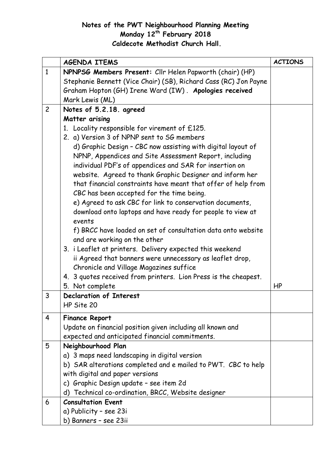## **Notes of the PWT Neighbourhood Planning Meeting Monday 12th February 2018 Caldecote Methodist Church Hall.**

|                | <b>AGENDA ITEMS</b>                                              | <b>ACTIONS</b> |
|----------------|------------------------------------------------------------------|----------------|
| $\mathbf{1}$   | NPNPSG Members Present: Cllr Helen Papworth (chair) (HP)         |                |
|                | Stephanie Bennett (Vice Chair) (SB), Richard Cass (RC) Jon Payne |                |
|                | Graham Hopton (GH) Irene Ward (IW). Apologies received           |                |
|                | Mark Lewis (ML)                                                  |                |
| $\overline{c}$ | Notes of 5.2.18. agreed                                          |                |
|                | Matter arising                                                   |                |
|                | 1. Locality responsible for virement of £125.                    |                |
|                | 2. a) Version 3 of NPNP sent to SG members                       |                |
|                | d) Graphic Design - CBC now assisting with digital layout of     |                |
|                | NPNP, Appendices and Site Assessment Report, including           |                |
|                | individual PDF's of appendices and SAR for insertion on          |                |
|                | website. Agreed to thank Graphic Designer and inform her         |                |
|                | that financial constraints have meant that offer of help from    |                |
|                | CBC has been accepted for the time being.                        |                |
|                | e) Agreed to ask CBC for link to conservation documents,         |                |
|                | download onto laptops and have ready for people to view at       |                |
|                | events                                                           |                |
|                | f) BRCC have loaded on set of consultation data onto website     |                |
|                | and are working on the other                                     |                |
|                | 3. i Leaflet at printers. Delivery expected this weekend         |                |
|                | ii Agreed that banners were unnecessary as leaflet drop,         |                |
|                | Chronicle and Village Magazines suffice                          |                |
|                | 4. 3 quotes received from printers. Lion Press is the cheapest.  |                |
|                | 5. Not complete                                                  | HP             |
| 3              | <b>Declaration of Interest</b>                                   |                |
|                | HP Site 20                                                       |                |
| 4              | <b>Finance Report</b>                                            |                |
|                | Update on financial position given including all known and       |                |
|                | expected and anticipated financial commitments.                  |                |
| 5              | Neighbourhood Plan                                               |                |
|                | a) 3 maps need landscaping in digital version                    |                |
|                | b) SAR alterations completed and e mailed to PWT. CBC to help    |                |
|                | with digital and paper versions                                  |                |
|                | c) Graphic Design update - see item 2d                           |                |
|                | Technical co-ordination, BRCC, Website designer<br>d)            |                |
| 6              | <b>Consultation Event</b>                                        |                |
|                | a) Publicity - see 23i                                           |                |
|                | b) Banners - see 23ii                                            |                |